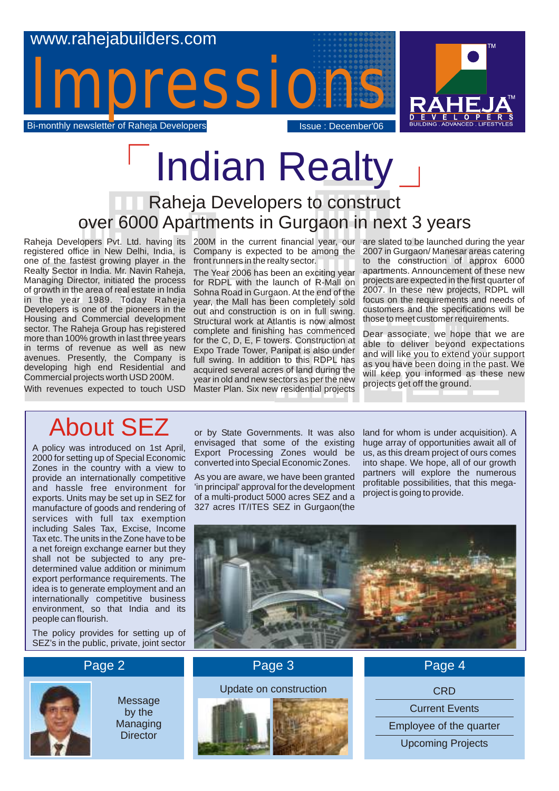

# Indian Realty

### Raheja Developers to construct over 6000 Apartments in Gurgaon in next 3 years

Raheja Developers Pvt. Ltd. having its 200M in the current financial year, our are slated to be launched during the year registered office in New Delhi, India, is Company is expected to be among the one of the fastest growing player in the Realty Sector in India. Mr. Navin Raheja, Managing Director, initiated the process of growth in the area of real estate in India in the year 1989. Today Raheja Developers is one of the pioneers in the Housing and Commercial development sector. The Raheja Group has registered more than 100% growth in last three years in terms of revenue as well as new avenues. Presently, the Company is developing high end Residential and Commercial projects worth USD 200M.

With revenues expected to touch USD

front runners in the realty sector.

The Year 2006 has been an exciting year for RDPL with the launch of R-Mall on Sohna Road in Gurgaon. At the end of the year, the Mall has been completely sold out and construction is on in full swing. Structural work at Atlantis is now almost complete and finishing has commenced for the C, D, E, F towers. Construction at Expo Trade Tower, Panipat is also under full swing. In addition to this RDPL has acquired several acres of land during the year in old and new sectors as per the new Master Plan. Six new residential projects

2007 in Gurgaon/ Manesar areas catering to the construction of approx 6000 apartments. Announcement of these new projects are expected in the first quarter of 2007. In these new projects, RDPL will focus on the requirements and needs of customers and the specifications will be those to meet customer requirements.

Dear associate, we hope that we are able to deliver beyond expectations and will like you to extend your support as you have been doing in the past. We will keep you informed as these new projects get off the ground.

## About SEZ

A policy was introduced on 1st April, 2000 for setting up of Special Economic Zones in the country with a view to provide an internationally competitive and hassle free environment for exports. Units may be set up in SEZ for manufacture of goods and rendering of services with full tax exemption including Sales Tax, Excise, Income Tax etc. The units in the Zone have to be a net foreign exchange earner but they shall not be subjected to any predetermined value addition or minimum export performance requirements. The idea is to generate employment and an internationally competitive business environment, so that India and its people can flourish.

The policy provides for setting up of SEZ's in the public, private, joint sector or by State Governments. It was also envisaged that some of the existing Export Processing Zones would be converted into Special Economic Zones.

As you are aware, we have been granted 'in principal' approval for the development of a multi-product 5000 acres SEZ and a 327 acres IT/ITES SEZ in Gurgaon(the

land for whom is under acquisition). A huge array of opportunities await all of us, as this dream project of ours comes into shape. We hope, all of our growth partners will explore the numerous profitable possibilities, that this megaproject is going to provide.



### Page 2 Page 3



Message by the Managing **Director** 





Page 4

**CRD** 

Current Events

Employee of the quarter

Upcoming Projects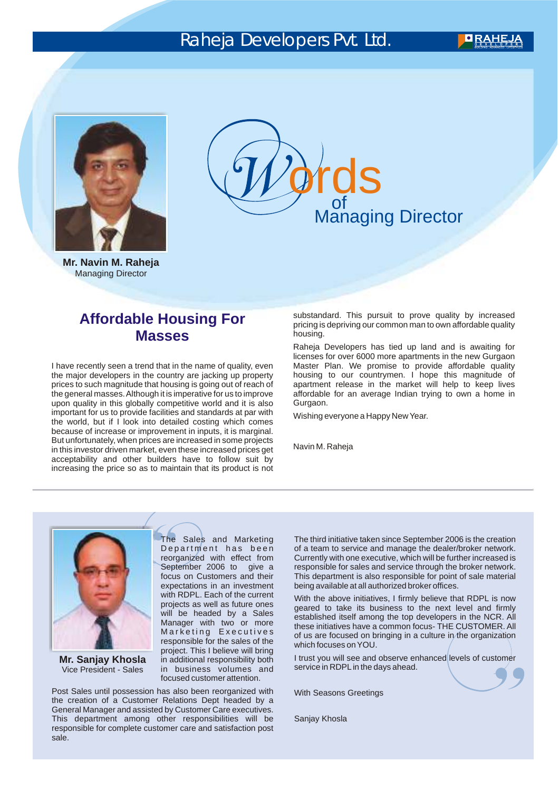### Raheja Developers Pvt. Ltd.



**Mr. Navin M. Raheja** Managing Director

of Managing Director **grds** 

#### **Affordable Housing For Masses**

I have recently seen a trend that in the name of quality, even the major developers in the country are jacking up property prices to such magnitude that housing is going out of reach of the general masses. Although it is imperative for us to improve upon quality in this globally competitive world and it is also important for us to provide facilities and standards at par with the world, but if I look into detailed costing which comes because of increase or improvement in inputs, it is marginal. But unfortunately, when prices are increased in some projects in this investor driven market, even these increased prices get acceptability and other builders have to follow suit by increasing the price so as to maintain that its product is not substandard. This pursuit to prove quality by increased pricing is depriving our common man to own affordable quality housing.

Raheja Developers has tied up land and is awaiting for licenses for over 6000 more apartments in the new Gurgaon Master Plan. We promise to provide affordable quality housing to our countrymen. I hope this magnitude of apartment release in the market will help to keep lives affordable for an average Indian trying to own a home in Gurgaon.

Wishing everyone a Happy New Year.

Navin M. Raheja



**Mr. Sanjay Khosla** Vice President - Sales

The Sales and Marketing Dep artment has been reorganized with effect from September 2006 to give a focus on Customers and their expectations in an investment with RDPL. Each of the current projects as well as future ones will be headed by a Sales Manager with two or more Marketing Executives responsible for the sales of the project. This I believe will bring in additional responsibility both in business volumes and focused customer attention.

Post Sales until possession has also been reorganized with the creation of a Customer Relations Dept headed by a General Manager and assisted by Customer Care executives. This department among other responsibilities will be responsible for complete customer care and satisfaction post sale.

The third initiative taken since September 2006 is the creation of a team to service and manage the dealer/broker network. Currently with one executive, which will be further increased is responsible for sales and service through the broker network. This department is also responsible for point of sale material being available at all authorized broker offices.

With the above initiatives, I firmly believe that RDPL is now geared to take its business to the next level and firmly established itself among the top developers in the NCR. All these initiatives have a common focus- THE CUSTOMER. All of us are focused on bringing in a culture in the organization which focuses on YOU.

I trust you will see and observe enhanced levels of customer service in RDPL in the days ahead.

With Seasons Greetings

Sanjay Khosla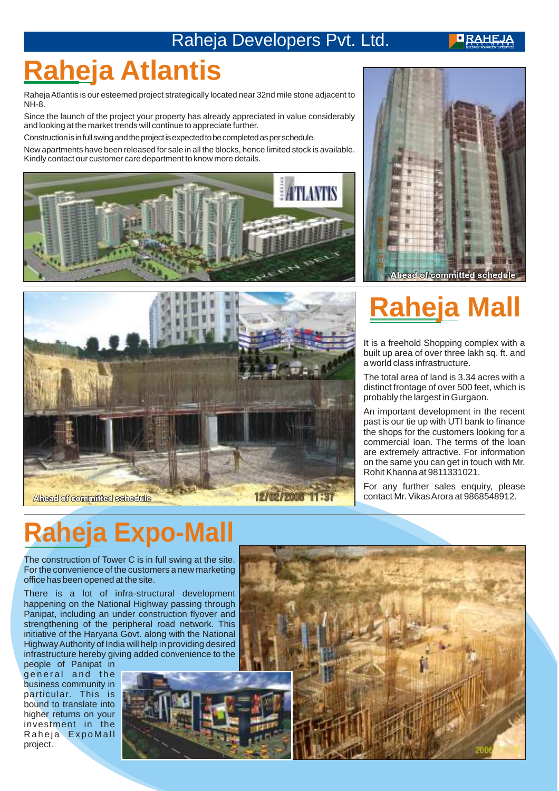### Raheja Developers Pvt. Ltd.

**ORAHEJA** 

## **Raheja Atlantis**

Raheja Atlantis is our esteemed project strategically located near 32nd mile stone adjacent to NH-8.

Since the launch of the project your property has already appreciated in value considerably and looking at the market trends will continue to appreciate further.

Construction is in full swing and the project is expected to be completed as per schedule.

New apartments have been released for sale in all the blocks, hence limited stock is available. Kindly contact our customer care department to know more details.







## **Raheja**

It is a freehold Shopping complex with a built up area of over three lakh sq. ft. and a world class infrastructure.

The total area of land is 3.34 acres with a distinct frontage of over 500 feet, which is probably the largest in Gurgaon.

An important development in the recent past is our tie up with UTI bank to finance the shops for the customers looking for a commercial loan. The terms of the loan are extremely attractive. For information on the same you can get in touch with Mr. Rohit Khanna at 9811331021.

For any further sales enquiry, please contact Mr. Vikas Arora at 9868548912.

## **Raheja Expo-Mall**

The construction of Tower C is in full swing at the site. For the convenience of the customers a new marketing office has been opened at the site.

There is a lot of infra-structural development happening on the National Highway passing through Panipat, including an under construction flyover and strengthening of the peripheral road network. This initiative of the Haryana Govt. along with the National Highway Authority of India will help in providing desired infrastructure hereby giving added convenience to the

people of Panipat in general and the business community in particular. This is bound to translate into higher returns on your investment in the Raheja ExpoMall project.